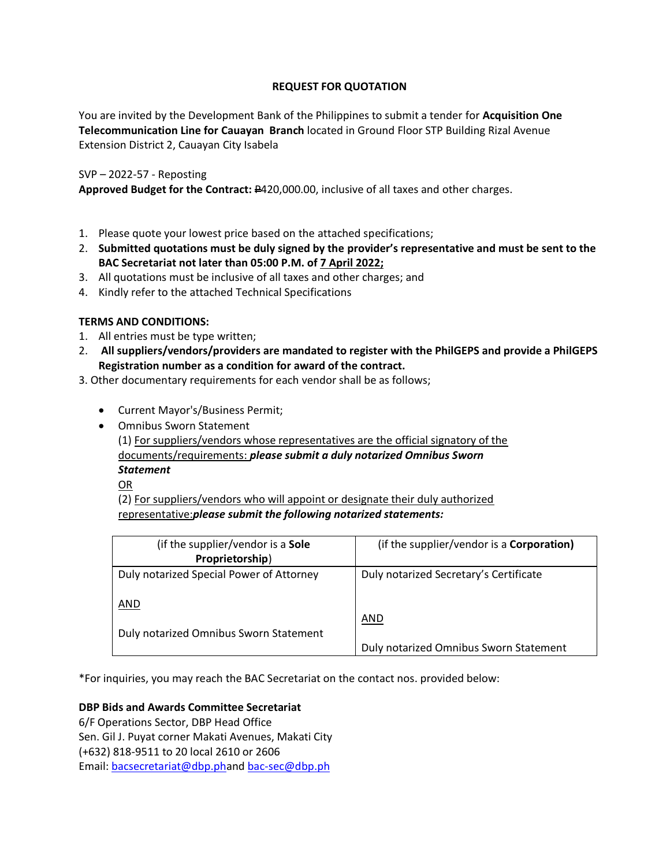# **REQUEST FOR QUOTATION**

You are invited by the Development Bank of the Philippines to submit a tender for **Acquisition One Telecommunication Line for Cauayan Branch** located in Ground Floor STP Building Rizal Avenue Extension District 2, Cauayan City Isabela

# SVP – 2022-57 - Reposting

**Approved Budget for the Contract:** P420,000.00, inclusive of all taxes and other charges.

- 1. Please quote your lowest price based on the attached specifications;
- 2. **Submitted quotations must be duly signed by the provider's representative and must be sent to the BAC Secretariat not later than 05:00 P.M. of 7 April 2022;**
- 3. All quotations must be inclusive of all taxes and other charges; and
- 4. Kindly refer to the attached Technical Specifications

# **TERMS AND CONDITIONS:**

- 1. All entries must be type written;
- 2. **All suppliers/vendors/providers are mandated to register with the PhilGEPS and provide a PhilGEPS Registration number as a condition for award of the contract.**
- 3. Other documentary requirements for each vendor shall be as follows;
	- Current Mayor's/Business Permit;
	- Omnibus Sworn Statement

(1) For suppliers/vendors whose representatives are the official signatory of the documents/requirements: *please submit a duly notarized Omnibus Sworn Statement*

OR

(2) For suppliers/vendors who will appoint or designate their duly authorized representative:*please submit the following notarized statements:*

| (if the supplier/vendor is a Sole<br>Proprietorship) | (if the supplier/vendor is a <b>Corporation)</b> |
|------------------------------------------------------|--------------------------------------------------|
| Duly notarized Special Power of Attorney             | Duly notarized Secretary's Certificate           |
| AND                                                  | AND                                              |
| Duly notarized Omnibus Sworn Statement               | Duly notarized Omnibus Sworn Statement           |

\*For inquiries, you may reach the BAC Secretariat on the contact nos. provided below:

# **DBP Bids and Awards Committee Secretariat**

6/F Operations Sector, DBP Head Office Sen. Gil J. Puyat corner Makati Avenues, Makati City (+632) 818-9511 to 20 local 2610 or 2606 Email: [bacsecretariat@dbp.pha](mailto:bacsecretariat@dbp.ph)nd [bac-sec@dbp.ph](mailto:bac-sec@dbp.ph)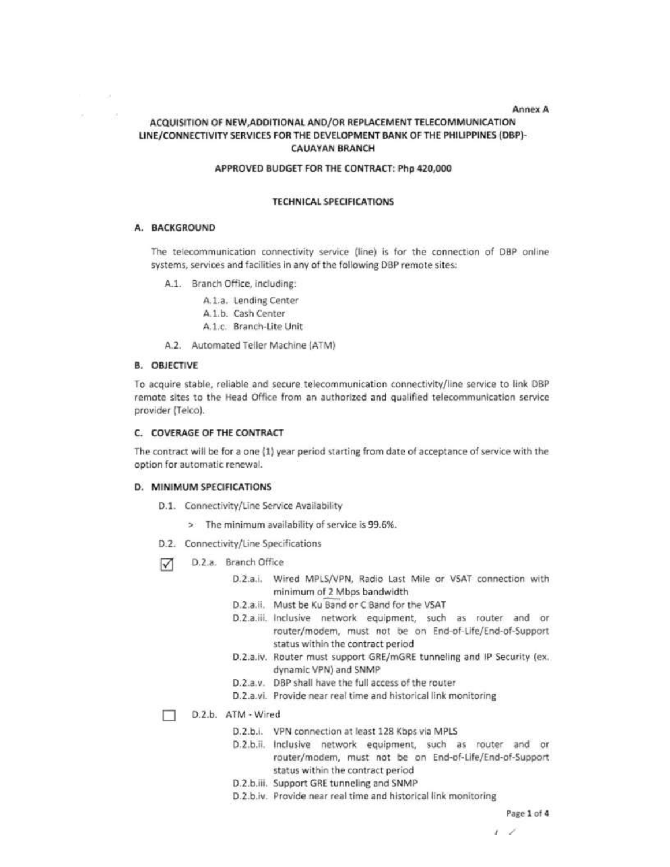#### Annex A

# ACQUISITION OF NEW, ADDITIONAL AND/OR REPLACEMENT TELECOMMUNICATION LINE/CONNECTIVITY SERVICES FOR THE DEVELOPMENT BANK OF THE PHILIPPINES (DBP)-**CAUAYAN BRANCH**

#### APPROVED BUDGET FOR THE CONTRACT: Php 420,000

#### **TECHNICAL SPECIFICATIONS**

#### A. BACKGROUND

 $\sim$ 

The telecommunication connectivity service (line) is for the connection of DBP online systems, services and facilities in any of the following DBP remote sites:

- A.1. Branch Office, including:
	- A.1.a. Lending Center
	- A.1.b. Cash Center A.1.c. Branch-Lite Unit
- A.2. Automated Teller Machine (ATM)

#### **B. OBJECTIVE**

To acquire stable, reliable and secure telecommunication connectivity/line service to link DBP remote sites to the Head Office from an authorized and qualified telecommunication service provider (Telco).

### C. COVERAGE OF THE CONTRACT

The contract will be for a one (1) year period starting from date of acceptance of service with the option for automatic renewal.

#### D. MINIMUM SPECIFICATIONS

- D.1. Connectivity/Line Service Availability
	- > The minimum availability of service is 99.6%.
- D.2. Connectivity/Line Specifications
- D.2.a. Branch Office ☑
	- D.2.a.i. Wired MPLS/VPN, Radio Last Mile or VSAT connection with minimum of 2 Mbps bandwidth
	- D.2.a.ii. Must be Ku Band or C Band for the VSAT
	- D.2.a.iii. Inclusive network equipment, such as router and or router/modem, must not be on End-of-Life/End-of-Support status within the contract period
	- D.2.a.iv. Router must support GRE/mGRE tunneling and IP Security (ex. dynamic VPN) and SNMP
	- D.2.a.v. DBP shall have the full access of the router
	- D.2.a.vi. Provide near real time and historical link monitoring

#### п D.2.b. ATM - Wired

- D.2.b.i. VPN connection at least 128 Kbps via MPLS
- D.2.b.ii. Inclusive network equipment, such as router and or router/modem, must not be on End-of-Life/End-of-Support status within the contract period
- D.2.b.iii. Support GRE tunneling and SNMP
- D.2.b.iv. Provide near real time and historical link monitoring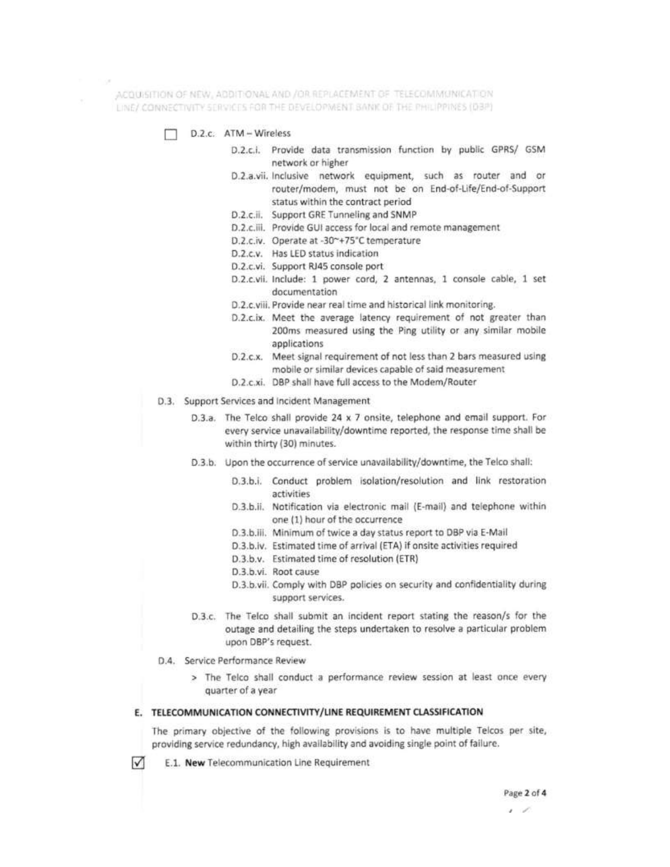ACQUISITION OF NEW, ADDITIONAL AND /OR REPLACEMENT OF TELECOMMUNICATION LINE/ CONNECTIVITY SERVICES FOR THE DEVELOPMENT BANK OF THE PHILIPPINES (DBP)

- D.Z.c. ATM Wireless
	- D.2.c.i. Provide data transmission function by public GPRS/ GSM network or higher
	- D.2.a.vii. Inclusive network equipment, such as router and or router/modem, must not be on End-of-Life/End-of-Support status within the contract period
	- D.2.c.ii. Support GRE Tunneling and SNMP
	- D.2.c.iii. Provide GUI access for local and remote management
	- D.2.c.iv. Operate at -30~+75°C temperature
	- D.2.c.v. Has LED status indication
	- D.2.c.vi. Support RJ45 console port
	- D.2.c.vii. Include: 1 power cord, 2 antennas, 1 console cable, 1 set documentation
	- D.2.c.viii. Provide near real time and historical link monitoring.
	- D.2.c.ix. Meet the average latency requirement of not greater than 200ms measured using the Ping utility or any similar mobile applications
	- D.2.c.x. Meet signal requirement of not less than 2 bars measured using mobile or similar devices capable of said measurement
	- D.2.c.xi. DBP shall have full access to the Modem/Router
- D.3. Support Services and Incident Management
	- D.3.a. The Telco shall provide 24 x 7 onsite, telephone and email support. For every service unavailability/downtime reported, the response time shall be within thirty (30) minutes.
	- D.3.b. Upon the occurrence of service unavailability/downtime, the Telco shall:
		- D.3.b.i. Conduct problem isolation/resolution and link restoration activities
		- D.3.b.ii. Notification via electronic mail (E-mail) and telephone within one (1) hour of the occurrence
		- D.3.b.iii. Minimum of twice a day status report to DBP via E-Mail
		- D.3.b.iv. Estimated time of arrival (ETA) if onsite activities required
		- D.3.b.v. Estimated time of resolution (ETR)
		- D.3.b.vi. Root cause
		- D.3.b.vii. Comply with DBP policies on security and confidentiality during support services.
	- D.3.c. The Telco shall submit an incident report stating the reason/s for the outage and detailing the steps undertaken to resolve a particular problem upon DBP's request.
- D.4. Service Performance Review

 $\sqrt{}$ 

> The Telco shall conduct a performance review session at least once every quarter of a year

#### E. TELECOMMUNICATION CONNECTIVITY/LINE REQUIREMENT CLASSIFICATION

The primary objective of the following provisions is to have multiple Telcos per site, providing service redundancy, high availability and avoiding single point of failure.

E.1. New Telecommunication Line Requirement

<sup>, ,</sup>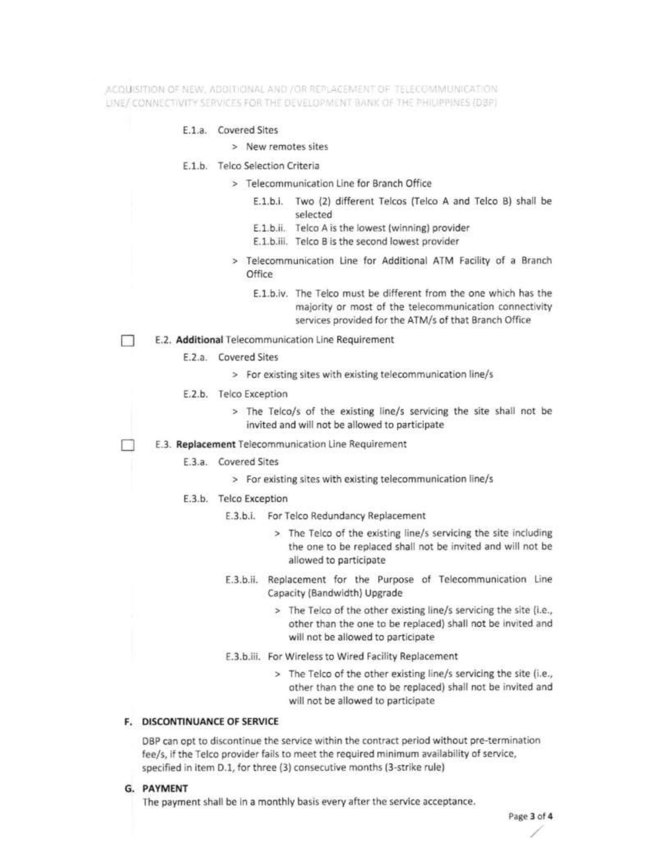ACOUSSTIDN OF NEW , ADDITIONAL AND / OR REPLACEMENT OF TELECOMMUNICATION LINE/ CONNECTIVITY SERVICES FOR THE DEVELOPMENT BANK OF THE PHILIPPINES (DBP)

### E.1.a. Covered Sites

- > New remotes sites
- E.1.b. Telco Selection Criteria
	- > Telecommunication Line for Branch Office
		- E.1.b.i. Two (2) different Telcos (Telco A and Telco B) shall be selected
		- E.1.b.ii. Telco A is the lowest (winning) provider
		- E.1.b.iii. Telco B is the second lowest provider
	- > Telecommunication Line for Additional ATM Facility of a Branch Office
		- E.1.b.iv. The Telco must be different from the one which has the majority or most of the telecommunication connectivity services provided for the ATM/s of that Branch Office
- E.2. Additional Telecommunication Line Requirement  $\mathbb{R}$ 
	- E.2.a. Covered Sites
		- > For existing sites with existing telecommunication line/s
	- E.2.b. Telco Exception
		- > The Telco/s of the existing line/s servicing the site shall not be invited and will not be allowed to participate
	- E.3. Replacement Telecommunication Line Requirement
		- E.3.a. Covered Sites
			- > For existing sites with existing telecommunication line/s
		- E.3.b. Telco Exception
			- E.3.b.i. For Telco Redundancy Replacement
				- > The Telco of the existing line/s servicing the site including the one to be replaced shall not be invited and will not be allowed to participate
			- E.3.b.ii. Replacement for the Purpose of Telecommunication Line Capacity (Bandwidth) Upgrade
				- > The Telco of the other existing line/s servicing the site (i.e., other than the one to be replaced) shall not be invited and will not be allowed to participate
			- E.3.b.iii. For Wireless to Wired Facility Replacement
				- > The Telco of the other existing line/s servicing the site (i.e., other than the one to be replaced) shall not be invited and will not be allowed to participate

# F. DISCONTINUANCE OF SERVICE

DBP can opt to discontinue the service within the contract period without pre-termination fee/s, if the Telco provider fails to meet the required minimum availability of service, specified in item D.1, for three (3) consecutive months (3-strike rule)

G. PAYMENT

The payment shall be in a monthly basis every after the service acceptance.